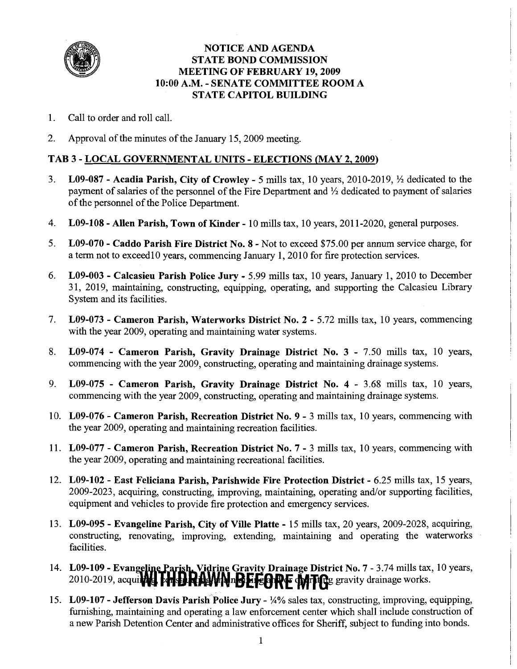

#### NOTICE AND AGENDA STATE BOND COMMISSION MEETING OF FEBRUARY 19,2009 10:OO A.M. - SENATE COMMITTEE ROOM A STATE CAPITOL BUILDING

- 1. Call to order and roll call.
- 2. Approval of the minutes of the January 15,2009 meeting.

#### TAB 3 - LOCAL GOVERNMENTAL UNITS - ELECTIONS (MAY 2,2009)

- 3. L09-087 Acadia Parish, City of Crowley 5 mills tax, 10 years, 2010-2019,  $\frac{1}{2}$  dedicated to the payment of salaries of the personnel of the Fire Department and '/2 dedicated to payment of salaries of the personnel of the Police Department.
- 4. L09-108 Allen Parish, Town of Kinder 10 mills tax, 10 years, 201 1-2020, general purposes.
- 5. L09-070 Caddo Parish Fire District No. 8 Not to exceed \$75.00 per annum service charge, for a term not to exceed 10 years, commencing January 1, 2010 for fire protection services.
- 6. L09-003 Calcasieu Parish Police Jury 5.99 mills tax, 10 years, January 1, 2010 to December 31, 2019, maintaining, constructing, equipping, operating, and supporting the Calcasieu Library System and its facilities.
- 7. L09-073 Cameron Parish, Waterworks District No. 2 5.72 mills tax, 10 years, commencing with the year 2009, operating and maintaining water systems.
- 8. L09-074 Cameron Parish, Gravity Drainage District No. 3 7.50 mills tax, 10 years, commencing with the year 2009, constructing, operating and maintaining drainage systems.
- 9. L09-075 Cameron Parish, Gravity Drainage District No. 4 3.68 mills tax, 10 years, commencing with the year 2009, constructing, operating and maintaining drainage systems.
- 10. L09-076 Cameron Parish, Recreation District No. 9 3 mills tax, 10 years, commencing with the year 2009, operating and maintaining recreation facilities.
- 11. L09-077 Cameron Parish, Recreation District No. 7 3 mills tax, 10 years, commencing with the year 2009, operating and maintaining recreational facilities.
- 12. L09-102 East Feliciana Parish, Parishwide Fire Protection District 6.25 mills tax, 15 years, 2009-2023, acquiring, constructing, improving, maintaining, operating and/or supporting facilities, equipment and vehicles to provide fire protection and emergency services.
- 13. L09-095 Evangeline Parish, City of Ville Platte 15 mills tax, 20 years, 2009-2028, acquiring, constructing, renovating, improving, extending, maintaining and operating the waterworks facilities.
- 14. L09-109 Evangeline Parish, Vidrine Gravity Drainage District No. 7 3.74 mills tax, 10 years, 2010-2019, acquitted Fens RAWNnBEFEARE MITTES gravity drainage works.
- 15. L09-107 Jefferson Davis Parish Police Jury **3%** sales tax, constructing, improving, equipping, furnishing, maintaining and operating a law enforcement center which shall include construction of a new Parish Detention Center and administrative offices for Sheriff, subject to funding into bonds.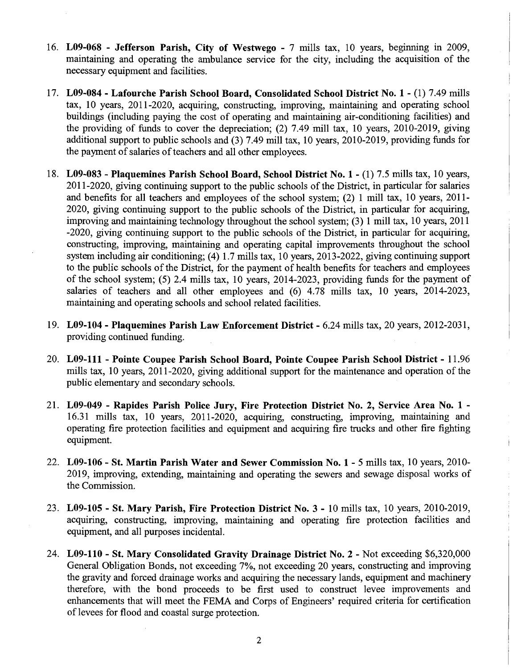- 16. **L09-068 Jefferson Parish, City of Westwego**  7 mills tax, 10 years, beginning in 2009, maintaining and operating the ambulance service for the city, including the acquisition of the necessary equipment and facilities.
- 17. **L09-084 Lafourche Parish School Board, Consolidated School District No. 1**  (1) 7.49 mills tax, 10 years, 2011-2020, acquiring, constructing, improving, maintaining and operating school buildings (including paying the cost of operating and maintaining air-conditioning facilities) and the providing of funds to cover the depreciation; (2) 7.49 mill tax, 10 years, 2010-2019, giving additional support to public schools and (3) 7.49 mill tax, 10 years, 2010-2019, providing funds for the payment of salaries of teachers and all other employees.
- 18. **L09-083 Plaquemines Parish School Board, School District No. 1**  (1) 7.5 mills tax, 10 years, 201 1-2020, giving continuing support to the public schools of the District, in particular for salaries and benefits for all teachers and employees of the school system; (2) 1 mill tax, 10 years, 2011-2020, giving continuing support to the public schools of the District, in particular for acquiring, improving and maintaining technology throughout the school system; (3) 1 mill tax, 10 years, 2011 -2020, giving continuing support to the public schools of the District, in particular for acquiring, constructing, improving, maintaining and operating capital improvements throughout the school system including air conditioning; (4) 1.7 mills tax, 10 years, 2013-2022, giving continuing support to the public schools of the District, for the payment of health benefits for teachers and employees of the school system; (5) 2.4 mills tax, 10 years, 2014-2023, providing funds for the payment of salaries of teachers and all other employees and (6) 4.78 mills tax, 10 years, 2014-2023, maintaining and operating schools and school related facilities.
- 19. **L09-104 Plaquemines Parish Law Enforcement District**  6.24 mills tax, 20 years, 2012-2031, providing continued funding.
- 20. **L09-111 Pointe Coupee Parish School Board, Pointe Coupee Parish School District**  11.96 mills tax, 10 years, 2011-2020, giving additional support for the maintenance and operation of the public elementary and secondary schools.
- 21. **L09-049 Rapides Parish Police Jury, Fire protection District No. 2, Service Area No. 1**  16.31 mills tax, 10 years, 2011-2020, acquiring, constructing, improving, maintaining and operating fire protection facilities and equipment and acquiring fire trucks and other fire fighting equipment.

 $\mathbf{i}$  $\frac{1}{4}$ 

- 22. **L09-106 St. Martin Parish Water and Sewer Commission No. 1**  5 mills tax, 10 years, 2010- 2019, improving, extending, maintaining and operating the sewers and sewage disposal works of the Commission.
- 23. **L09-105 St. Mary Parish, Fire Protection District No. 3**  10 mills tax, 10 years, 2010-2019, acquiring, constructing, improving, maintaining and operating fire protection facilities and equipment, and all purposes incidental.
- 24. **L09-110 St. Mary Consolidated Gravity Drainage District No. 2**  Not exceeding \$6,320,000 General Obligation Bonds, not exceeding 7%, not exceeding 20 years, constructing and improving the gravity and forced drainage works and acquiring the necessary lands, equipment and machnery therefore, with the bond proceeds to be first used to construct levee improvements and enhancements that will meet the FEMA and Corps of Engineers' required criteria for certification of levees for flood and coastal surge protection.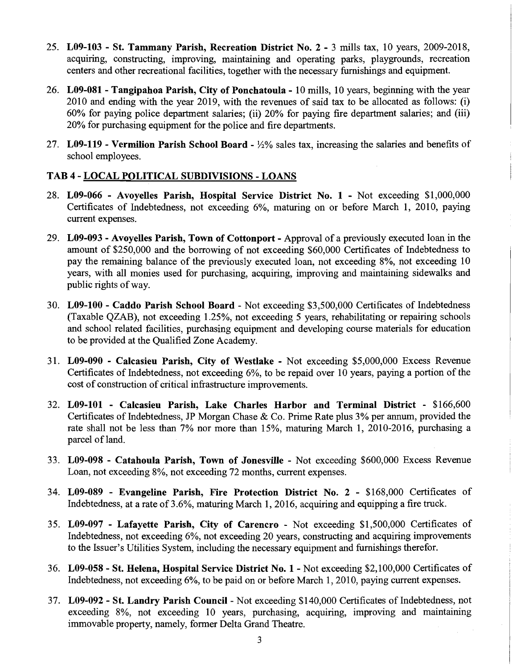- 25. **L09-103 St. Tammany Parish, Recreation District No. 2**  3 mills tax, 10 years, 2009-2018, acquiring, constructing, improving, maintaining and operating parks, playgrounds, recreation centers and other recreational facilities, together with the necessary furnishings and equipment.
- 26. **L09-081 Tangipahoa Parish, City of Ponchatoula**  10 mills, 10 years, beginning with the year 2010 and ending with the year 2019, with the revenues of said tax to be allocated as follows: (i) 60% for paying police department salaries; (ii) 20% for paying fire department salaries; and (iii) 20% for purchasing equipment for the police and fire departments.
- 27. **L09-119 Vermilion Parish School Board**  %% sales tax, increasing the salaries and benefits of school employees.

# **TAB 4** - **LOCAL POLITICAL SUBDIVISIONS** - **LOANS**

- 28. **L09-066 Avoyelles Parish, Hospital Service District No. 1**  Not exceeding \$1,000,000 Certificates of Indebtedness, not exceeding 6%, maturing on or before March 1, 2010, paying current expenses.
- 29. **L09-093 Avoyelles Parish, Town of Cottonport**  Approval of a previously executed loan in the amount of \$250,000 and the borrowing of not exceeding \$60,000 Certificates of Indebtedness to pay the remaining balance of the previously executed loan, not exceeding 8%, not exceeding 10 years, with all monies used for purchasing, acquiring, improving and maintaining sidewalks and public rights of way.
- 30. **L09-100 Caddo Parish School Board**  Not exceeding \$3,500,000 Certificates of Indebtedness (Taxable QZAB), not exceeding 1.25%, not exceeding 5 years, rehabilitating or repairing schools and school related facilities, purchasing equipment and developing course materials for education to be provided at the Qualified Zone Academy.
- 31. **L09-090 Calcasieu Parish, City of Westlake**  Not exceeding \$5,000,000 Excess Revenue Certificates of Indebtedness, not exceeding 6%, to be repaid over 10 years, paying a portion of the cost of construction of critical infrastructure improvements.
- 32. **L09-101 Calcasieu Parish, Lake Charles Harbor and Terminal District**  \$166,600 Certificates of Indebtedness, JP Morgan Chase & Co. Prime Rate plus 3% per annum, provided the rate shall not be less than 7% nor more than 15%, maturing March 1, 2010-2016, purchasing a parcel of land.
- 33. **L09-098 Catahoula Parish, Town of Jonesville**  Not exceeding \$600,000 Excess Revenue Loan, not exceeding 8%, not exceeding 72 months, current expenses.
- 34. **L09-089 Evangeline Parish, Fire Protection District No. 2**  \$168,000 Certificates of Indebtedness, at a rate of 3.6%, maturing March 1, 2016, acquiring and equipping a fire truck.
- 35. **L09-097 Lafayette Parish, City of Carencro**  Not exceeding \$1,500,000 Certificates of Indebtedness, not exceeding 6%, not exceeding 20 years, constructing and acquiring improvements to the Issuer's Utilities System, including the necessary equipment and furnishings therefor.
- 36. **L09-058 St. Helena, Hospital Service District No. 1**  Not exceeding \$2,100,000 Certificates of Indebtedness, not exceeding 6%, to be paid on or before March 1, 2010, paying current expenses.
- 37. **L09-092 St. Landry Parish Council**  Not exceeding \$140,000 Certificates of Indebtedness, not exceeding 8%, not exceeding 10 years, purchasing, acquiring, improving and maintaining immovable property, namely, former Delta Grand Theatre.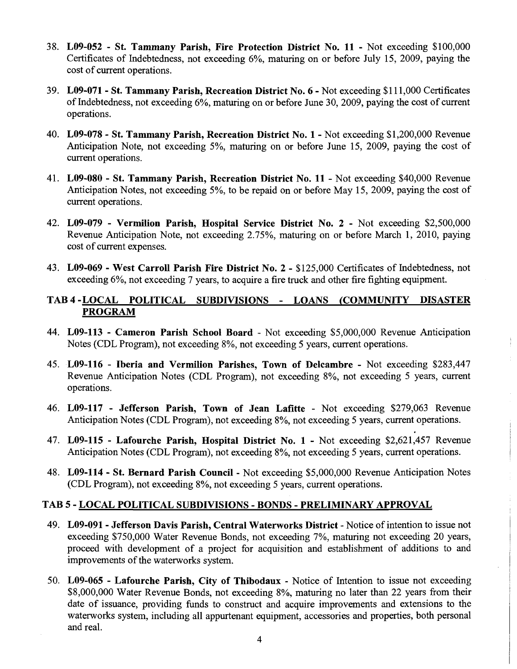- 38. L09-052 St. Tammany Parish, Fire Protection District No. 11 Not exceeding \$100,000 Certificates of Indebtedness, not exceeding 6%, maturing on or before July 15, 2009, paying the cost of current operations.
- 39. L09-071 St. Tammany Parish, Recreation District No. 6 Not exceeding \$1 1 1,000 Certificates of Indebtedness, not exceeding 6%, maturing on or before June 30,2009, paying the cost of current operations.
- 40. L09-078 St. Tammany Parish, Recreation District No. 1 Not exceeding \$1,200,000 Revenue Anticipation Note, not exceeding 5%, maturing on or before June 15, 2009, paying the cost of current operations.
- 41. L09-080 St. Tammany Parish, Recreation District No. 11 Not exceeding \$40,000 Revenue Anticipation Notes, not exceeding 5%, to be repaid on or before May 15, 2009, paying the cost of current operations.
- 42. L09-079 Vermilion Parish, Hospital Service District No. 2 Not exceeding \$2,500,000 Revenue Anticipation Note, not exceeding 2.75%, maturing on or before March 1, 2010, paying cost of current expenses.
- 43. L09-069 West Carroll Parish Fire District No. 2 \$125,000 Certificates of Indebtedness, not exceeding 6%, not exceeding 7 years, to acquire a fire truck and other fire fighting equipment.

#### TAB4-LOCAL POLITICAL SUBDIVISIONS - LOANS (COMMUNITY DISASTER PROGRAM

- 44. L09-113 Cameron Parish School Board Not exceeding \$5,000,000 Revenue Anticipation Notes (CDL Program), not exceeding 8%, not exceeding 5 years, current operations.
- 45. L09-116 Iberia and Vermilion Parishes, Town of Delcambre Not exceeding \$283,447 Revenue Anticipation Notes (CDL Program), not exceeding 8%, not exceeding 5 years, current operations.
- 46. L09-117 Jefferson Parish, Town of Jean Lafitte Not exceeding \$279,063 Revenue Anticipation Notes (CDL Program), not exceeding 8%, not exceeding 5 years, current operations.
- 47. L09-115 Lafourche Parish, Hospital District No. 1 Not exceeding \$2,621,457 Revenue Anticipation Notes (CDL Program), not exceeding 8%, not exceeding 5 years, current operations.
- 48. L09-114 St. Bernard Parish Council Not exceeding \$5,000,000 Revenue Anticipation Notes (CDL Program), not exceeding 8%, not exceeding 5 years, current operations.

## TAB 5 - LOCAL POLITICAL SUBDIVISIONS - BONDS - PRELIMINARY APPROVAL

- 49. L09-091- Jefferson Davis Parish, Central Waterworks District Notice of intention to issue not exceeding \$750,000 Water Revenue Bonds, not exceeding 7%, maturing not exceeding 20 years, proceed with development of a project for acquisition and establishment of additions to and improvements of the waterworks system.
- 50. L09-065 Lafourche Parish, City of Thibodaux Notice of Intention to issue not exceeding \$8,000,000 Water Revenue Bonds, not exceeding 8%, maturing no later than 22 years from their date of issuance, providing funds to construct and acquire improvements and extensions to the waterworks system, including all appurtenant equipment, accessories and properties, both personal and real.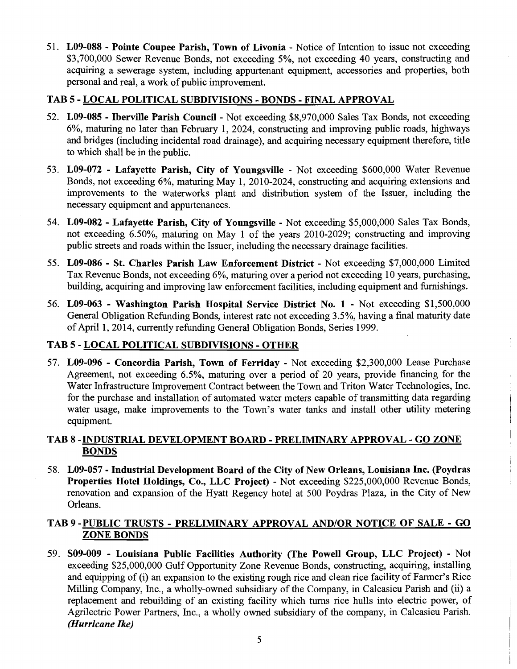51. **L09-088** - **Pointe Coupee Parish, Town of Livonia** - Notice of Intention to issue not exceeding \$3,700,000 Sewer Revenue Bonds, not exceeding 5%, not exceeding 40 years, constructing and acquiring a sewerage system, including appurtenant equipment, accessories and properties, both personal and real, a work of public improvement.

#### **TAB 5** - **LOCAL POLITICAL SUBDIVISIONS** - **BONDS** - **FINAL APPROVAL**

- 52. **L09-085 Tberville Parish Council**  Not exceeding \$8,970,000 Sales Tax Bonds, not exceeding 6%, maturing no later than February 1, 2024, constructing and improving public roads, highways and bridges (including incidental road drainage), and acquiring necessary equipment therefore, title to which shall be in the public.
- 53. **L09-072 Lafayette Parish, City of Youngsville**  Not exceeding \$600,000 Water Revenue Bonds, not exceeding 6%, maturing May 1, 2010-2024, constructing and acquiring extensions and improvements to the waterworks plant and distribution system of the Issuer, including the necessary equipment and appurtenances.
- 54. **L09-082 Lafayette Parish, City of Youngsville**  Not exceeding \$5,000,000 Sales Tax Bonds, not exceeding 6.50%, maturing on May 1 of the years 2010-2029; constructing and improving public streets and roads within the Issuer, including the necessary drainage facilities.
- 55. **L09-086 St. Charles Parish Law Enforcement District**  Not exceeding \$7,000,000 Limited Tax Revenue Bonds, not exceeding 6%, maturing over a period not exceeding 10 years, purchasing, building, acquiring and improving law enforcement facilities, including equipment and furnishings.
- 56. **L09-063 Washington Parish Hospital Service District No. 1**  Not exceeding \$1,500,000 General Obligation Refunding Bonds, interest rate not exceeding 3.5%, having a final maturity date of April 1,2014, currently refunding General Obligation Bonds, Series 1999.

## **TAB 5** - **LOCAL POLITICAL SUBDIVISIONS** - **OTHER**

57. **L09-096** - **Concordia Parish, Town of Ferriday** - Not exceeding \$2,300,000 Lease Purchase Agreement, not exceeding 6.5%, maturing over a period of 20 years, provide financing for the Water Infrastructure Improvement Contract between the Town and Triton Water Technologies, Inc. for the purchase and installation of automated water meters capable of transmitting data regarding water usage, make improvements to the Town's water tanks and install other utility metering equipment.

## **TAB 8 -INDUSTRIAL DEVELOPMENT BOARD** - **PRELIMINARY APPROVAL** - **GO ZONE BONDS**

58. **L09-057** - **Industrial Development Board of the City of New Orleans, Louisiana Inc. (Poydras Properties Hotel Holdings, Co., LLC Project)** - Not exceeding \$225,000,000 Revenue Bonds, renovation and expansion of the Hyatt Regency hotel at 500 Poydras Plaza, in the City of New Orleans.

## **TAB 9 -PUBLIC TRUSTS** - **PRELIMINARY APPROVAL AND/OR NOTICE OF SALE** - **GO ZONE BONDS**

59. **S09-009** - **Louisiana Public Facilities Authority (The Powell Group, LLC Project)** - Not exceeding \$25,000,000 Gulf Opportunity Zone Revenue Bonds, constructing, acquiring, installing and equipping of (i) an expansion to the existing rough rice and clean rice facility of Farmer's Rice Milling Company, Inc., a wholly-owned subsidiary of the Company, in Calcasieu Parish and (ii) a replacement and rebuilding of an existing facility which turns rice hulls into electric power, of Agrilectric Power Partners, Inc., a wholly owned subsidiary of the company, in Calcasieu Parish. *(Hurricane Ike)*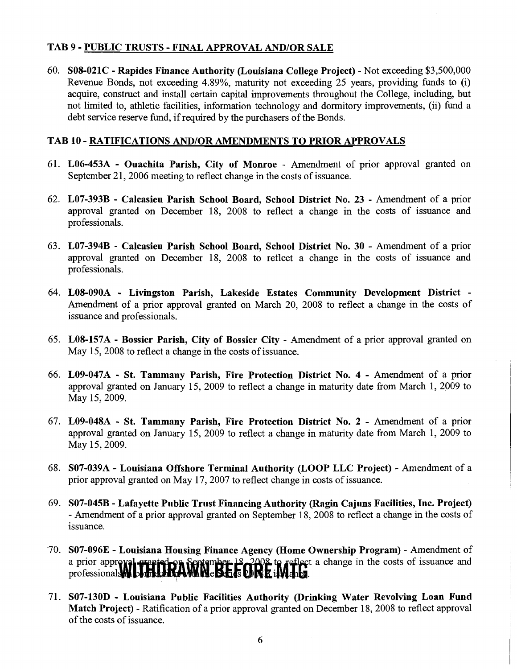## TAB 9 - PUBLIC TRUSTS - FINAL APPROVAL AND/OR SALE

60. SOS-021C - Rapides Finance Authority (Louisiana College Project) - Not exceeding \$3,500,000 Revenue Bonds, not exceeding 4.89%, maturity not exceeding 25 years, providing funds to (i) acquire, construct and install certain capital improvements throughout the College, including, but not limited to, athletic facilities, information technology and dormitory improvements, (ii) fund a debt service reserve fund, if required by the purchasers of the Bonds.

#### TAB 10 - RATIFICATIONS AND/OR AMENDMENTS TO PRIOR APPROVALS

- 61. L06-453A Ouachita Parish, City of Monroe Amendment of prior approval granted on September 21, 2006 meeting to reflect change in the costs of issuance.
- 62. L07-393B Calcasieu Parish School Board, School District No. 23 Amendment of a prior approval granted on December 18, 2008 to reflect a change in the costs of issuance and professionals.
- 63. L07-394B Calcasieu Parish School Board, School District No. 30 Amendment of a prior approval granted on December 18, 2008 to reflect a change in the costs of issuance and professionals.
- 64. LOS-090A Livingston Parish, Lakeside Estates Community Development District Amendment of a prior approval granted on March 20, 2008 to reflect a change in the costs of issuance and professionals.
- 65. LOS-157A Bossier Parish, City of Bossier City Amendment of a prior approval granted on May 15, 2008 to reflect a change in the costs of issuance.

i.

- 66. L09-047A St. Tammany Parish, Fire Protection District No. 4 Amendment of a prior approval granted on January 15, 2009 to reflect a change in maturity date fiom March 1, 2009 to May 15,2009.
- 67. L09-048A St. Tammany Parish, Fire Protection District No. 2 Amendment of a prior approval granted on January 15, 2009 to reflect a change in maturity date fiom March 1, 2009 to May 15,2009.
- 68. S07-039A Louisiana Offshore Terminal Authority (LOOP LLC Project) Amendment of a <sup>1</sup> prior approval granted on May 17,2007 to reflect change in costs of issuance.
- 69. S07-045B Lafayette Public Trust Financing Authority (Ragin Cajuns Facilities, Inc. Project) - Amendment of a prior approval granted on September 18,2008 to reflect a change in the costs of issuance.
- 70. S07-096E Louisiana Housing Finance Agency (Home Ownership Program) Amendment of t a change in the costs of issuance and professional
- 71. S07-130D Louisiana Public Facilities Authority (Drinking Water Revolving Loan Fund <sup>I</sup> Match Project) - Ratification of a prior approval granted on December 18,2008 to reflect approval of the costs of issuance.